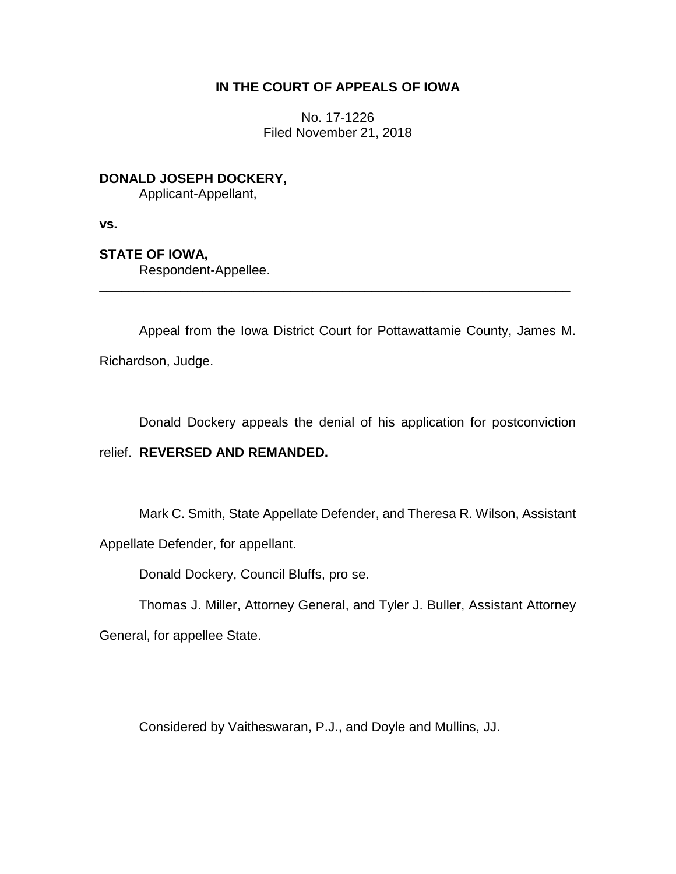# **IN THE COURT OF APPEALS OF IOWA**

No. 17-1226 Filed November 21, 2018

**DONALD JOSEPH DOCKERY,** Applicant-Appellant,

**vs.**

**STATE OF IOWA,**

Respondent-Appellee.

Appeal from the Iowa District Court for Pottawattamie County, James M.

\_\_\_\_\_\_\_\_\_\_\_\_\_\_\_\_\_\_\_\_\_\_\_\_\_\_\_\_\_\_\_\_\_\_\_\_\_\_\_\_\_\_\_\_\_\_\_\_\_\_\_\_\_\_\_\_\_\_\_\_\_\_\_\_

Richardson, Judge.

Donald Dockery appeals the denial of his application for postconviction

# relief. **REVERSED AND REMANDED.**

Mark C. Smith, State Appellate Defender, and Theresa R. Wilson, Assistant

Appellate Defender, for appellant.

Donald Dockery, Council Bluffs, pro se.

Thomas J. Miller, Attorney General, and Tyler J. Buller, Assistant Attorney

General, for appellee State.

Considered by Vaitheswaran, P.J., and Doyle and Mullins, JJ.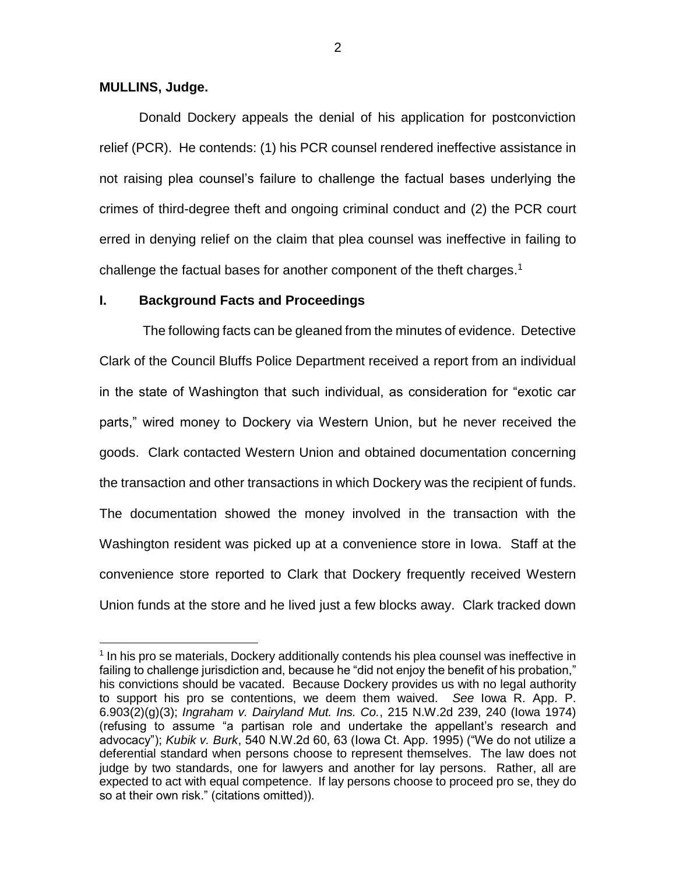### **MULLINS, Judge.**

 $\overline{a}$ 

Donald Dockery appeals the denial of his application for postconviction relief (PCR). He contends: (1) his PCR counsel rendered ineffective assistance in not raising plea counsel's failure to challenge the factual bases underlying the crimes of third-degree theft and ongoing criminal conduct and (2) the PCR court erred in denying relief on the claim that plea counsel was ineffective in failing to challenge the factual bases for another component of the theft charges. 1

## **I. Background Facts and Proceedings**

The following facts can be gleaned from the minutes of evidence. Detective Clark of the Council Bluffs Police Department received a report from an individual in the state of Washington that such individual, as consideration for "exotic car parts," wired money to Dockery via Western Union, but he never received the goods. Clark contacted Western Union and obtained documentation concerning the transaction and other transactions in which Dockery was the recipient of funds. The documentation showed the money involved in the transaction with the Washington resident was picked up at a convenience store in Iowa. Staff at the convenience store reported to Clark that Dockery frequently received Western Union funds at the store and he lived just a few blocks away. Clark tracked down

<sup>&</sup>lt;sup>1</sup> In his pro se materials, Dockery additionally contends his plea counsel was ineffective in failing to challenge jurisdiction and, because he "did not enjoy the benefit of his probation," his convictions should be vacated. Because Dockery provides us with no legal authority to support his pro se contentions, we deem them waived. *See* Iowa R. App. P. 6.903(2)(g)(3); *Ingraham v. Dairyland Mut. Ins. Co.*, 215 N.W.2d 239, 240 (Iowa 1974) (refusing to assume "a partisan role and undertake the appellant's research and advocacy"); *Kubik v. Burk*, 540 N.W.2d 60, 63 (Iowa Ct. App. 1995) ("We do not utilize a deferential standard when persons choose to represent themselves. The law does not judge by two standards, one for lawyers and another for lay persons. Rather, all are expected to act with equal competence. If lay persons choose to proceed pro se, they do so at their own risk." (citations omitted)).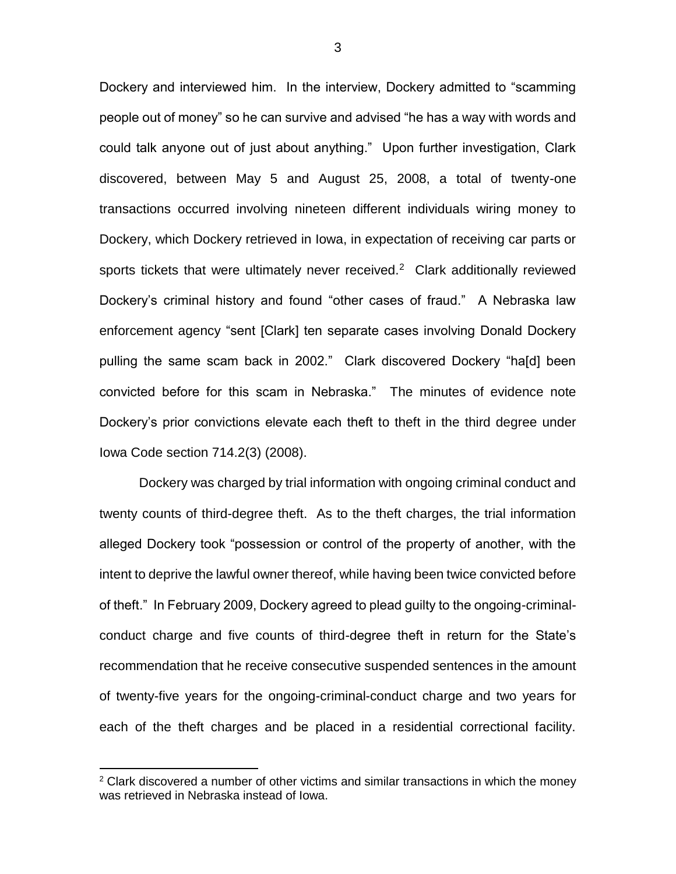Dockery and interviewed him. In the interview, Dockery admitted to "scamming people out of money" so he can survive and advised "he has a way with words and could talk anyone out of just about anything." Upon further investigation, Clark discovered, between May 5 and August 25, 2008, a total of twenty-one transactions occurred involving nineteen different individuals wiring money to Dockery, which Dockery retrieved in Iowa, in expectation of receiving car parts or sports tickets that were ultimately never received.<sup>2</sup> Clark additionally reviewed Dockery's criminal history and found "other cases of fraud." A Nebraska law enforcement agency "sent [Clark] ten separate cases involving Donald Dockery pulling the same scam back in 2002." Clark discovered Dockery "ha[d] been convicted before for this scam in Nebraska." The minutes of evidence note Dockery's prior convictions elevate each theft to theft in the third degree under Iowa Code section 714.2(3) (2008).

Dockery was charged by trial information with ongoing criminal conduct and twenty counts of third-degree theft. As to the theft charges, the trial information alleged Dockery took "possession or control of the property of another, with the intent to deprive the lawful owner thereof, while having been twice convicted before of theft." In February 2009, Dockery agreed to plead guilty to the ongoing-criminalconduct charge and five counts of third-degree theft in return for the State's recommendation that he receive consecutive suspended sentences in the amount of twenty-five years for the ongoing-criminal-conduct charge and two years for each of the theft charges and be placed in a residential correctional facility.

 $\overline{a}$ 

 $2$  Clark discovered a number of other victims and similar transactions in which the money was retrieved in Nebraska instead of Iowa.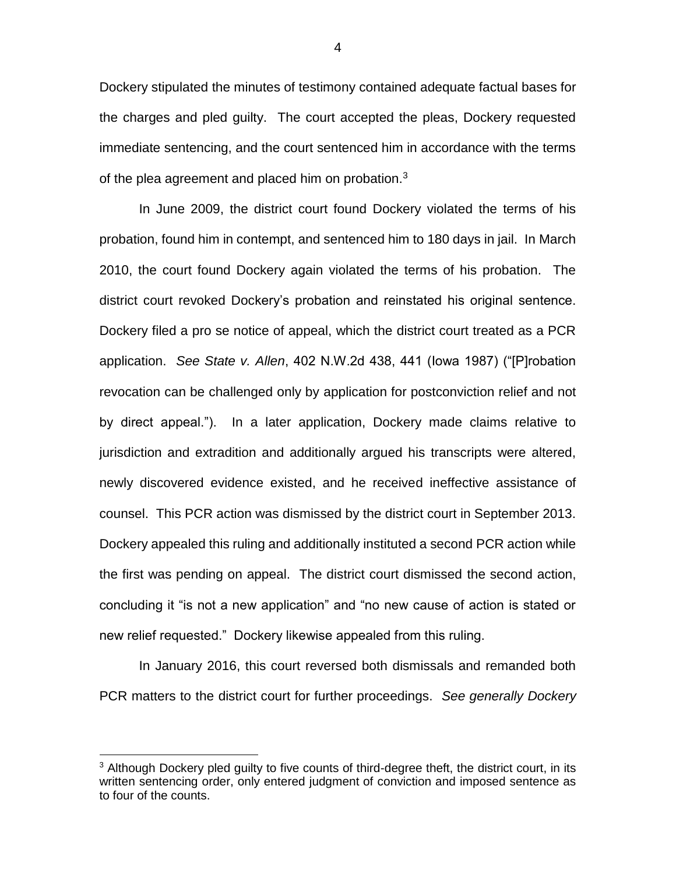Dockery stipulated the minutes of testimony contained adequate factual bases for the charges and pled guilty. The court accepted the pleas, Dockery requested immediate sentencing, and the court sentenced him in accordance with the terms of the plea agreement and placed him on probation.<sup>3</sup>

In June 2009, the district court found Dockery violated the terms of his probation, found him in contempt, and sentenced him to 180 days in jail. In March 2010, the court found Dockery again violated the terms of his probation. The district court revoked Dockery's probation and reinstated his original sentence. Dockery filed a pro se notice of appeal, which the district court treated as a PCR application. *See State v. Allen*, 402 N.W.2d 438, 441 (Iowa 1987) ("[P]robation revocation can be challenged only by application for postconviction relief and not by direct appeal."). In a later application, Dockery made claims relative to jurisdiction and extradition and additionally argued his transcripts were altered, newly discovered evidence existed, and he received ineffective assistance of counsel. This PCR action was dismissed by the district court in September 2013. Dockery appealed this ruling and additionally instituted a second PCR action while the first was pending on appeal. The district court dismissed the second action, concluding it "is not a new application" and "no new cause of action is stated or new relief requested." Dockery likewise appealed from this ruling.

In January 2016, this court reversed both dismissals and remanded both PCR matters to the district court for further proceedings. *See generally Dockery* 

 $\overline{a}$ 

4

 $3$  Although Dockery pled guilty to five counts of third-degree theft, the district court, in its written sentencing order, only entered judgment of conviction and imposed sentence as to four of the counts.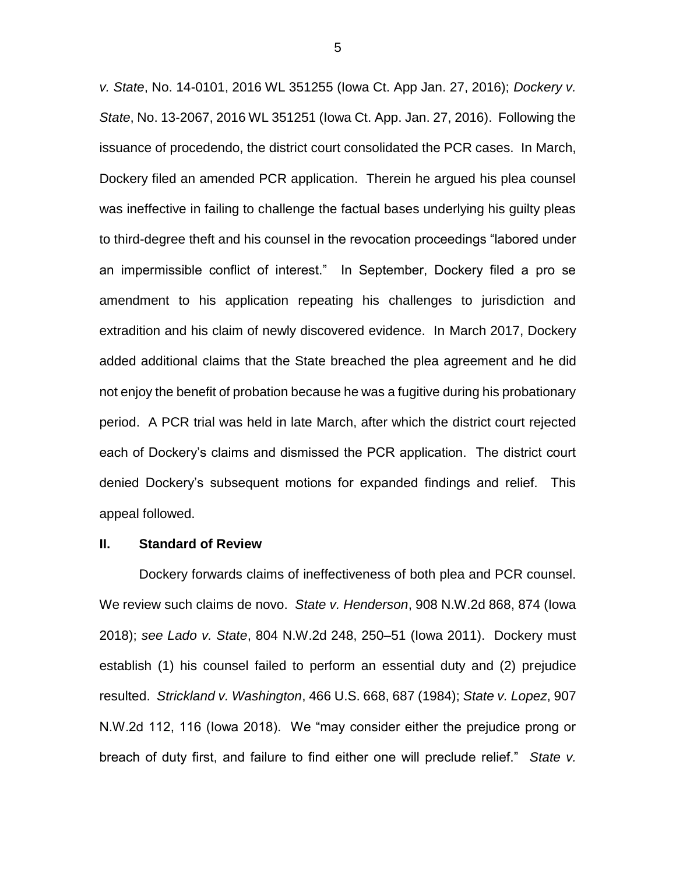*v. State*, No. 14-0101, 2016 WL 351255 (Iowa Ct. App Jan. 27, 2016); *Dockery v. State*, No. 13-2067, 2016 WL 351251 (Iowa Ct. App. Jan. 27, 2016). Following the issuance of procedendo, the district court consolidated the PCR cases. In March, Dockery filed an amended PCR application. Therein he argued his plea counsel was ineffective in failing to challenge the factual bases underlying his guilty pleas to third-degree theft and his counsel in the revocation proceedings "labored under an impermissible conflict of interest." In September, Dockery filed a pro se amendment to his application repeating his challenges to jurisdiction and extradition and his claim of newly discovered evidence. In March 2017, Dockery added additional claims that the State breached the plea agreement and he did not enjoy the benefit of probation because he was a fugitive during his probationary period. A PCR trial was held in late March, after which the district court rejected each of Dockery's claims and dismissed the PCR application. The district court denied Dockery's subsequent motions for expanded findings and relief. This appeal followed.

### **II. Standard of Review**

Dockery forwards claims of ineffectiveness of both plea and PCR counsel. We review such claims de novo. *State v. Henderson*, 908 N.W.2d 868, 874 (Iowa 2018); *see Lado v. State*, 804 N.W.2d 248, 250–51 (Iowa 2011). Dockery must establish (1) his counsel failed to perform an essential duty and (2) prejudice resulted. *Strickland v. Washington*, 466 U.S. 668, 687 (1984); *State v. Lopez*, 907 N.W.2d 112, 116 (Iowa 2018). We "may consider either the prejudice prong or breach of duty first, and failure to find either one will preclude relief." *State v.*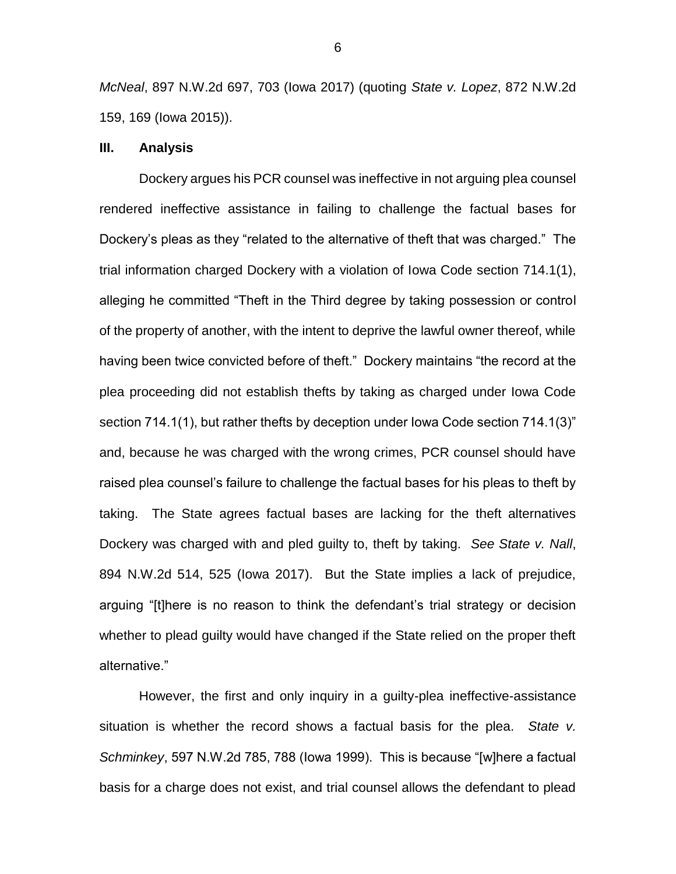*McNeal*, 897 N.W.2d 697, 703 (Iowa 2017) (quoting *State v. Lopez*, 872 N.W.2d 159, 169 (Iowa 2015)).

## **III. Analysis**

Dockery argues his PCR counsel was ineffective in not arguing plea counsel rendered ineffective assistance in failing to challenge the factual bases for Dockery's pleas as they "related to the alternative of theft that was charged." The trial information charged Dockery with a violation of Iowa Code section 714.1(1), alleging he committed "Theft in the Third degree by taking possession or control of the property of another, with the intent to deprive the lawful owner thereof, while having been twice convicted before of theft." Dockery maintains "the record at the plea proceeding did not establish thefts by taking as charged under Iowa Code section 714.1(1), but rather thefts by deception under Iowa Code section 714.1(3)" and, because he was charged with the wrong crimes, PCR counsel should have raised plea counsel's failure to challenge the factual bases for his pleas to theft by taking. The State agrees factual bases are lacking for the theft alternatives Dockery was charged with and pled guilty to, theft by taking. *See State v. Nall*, 894 N.W.2d 514, 525 (Iowa 2017). But the State implies a lack of prejudice, arguing "[t]here is no reason to think the defendant's trial strategy or decision whether to plead guilty would have changed if the State relied on the proper theft alternative."

However, the first and only inquiry in a guilty-plea ineffective-assistance situation is whether the record shows a factual basis for the plea. *State v. Schminkey*, 597 N.W.2d 785, 788 (Iowa 1999). This is because "[w]here a factual basis for a charge does not exist, and trial counsel allows the defendant to plead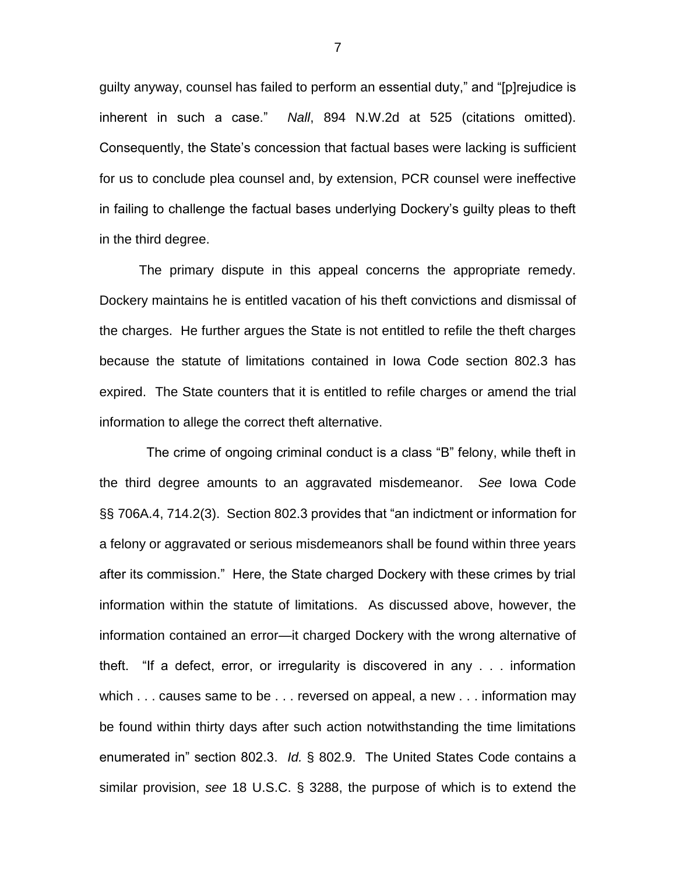guilty anyway, counsel has failed to perform an essential duty," and "[p]rejudice is inherent in such a case." *Nall*, 894 N.W.2d at 525 (citations omitted). Consequently, the State's concession that factual bases were lacking is sufficient for us to conclude plea counsel and, by extension, PCR counsel were ineffective in failing to challenge the factual bases underlying Dockery's guilty pleas to theft in the third degree.

The primary dispute in this appeal concerns the appropriate remedy. Dockery maintains he is entitled vacation of his theft convictions and dismissal of the charges. He further argues the State is not entitled to refile the theft charges because the statute of limitations contained in Iowa Code section 802.3 has expired. The State counters that it is entitled to refile charges or amend the trial information to allege the correct theft alternative.

 The crime of ongoing criminal conduct is a class "B" felony, while theft in the third degree amounts to an aggravated misdemeanor. *See* Iowa Code §§ 706A.4, 714.2(3). Section 802.3 provides that "an indictment or information for a felony or aggravated or serious misdemeanors shall be found within three years after its commission." Here, the State charged Dockery with these crimes by trial information within the statute of limitations. As discussed above, however, the information contained an error—it charged Dockery with the wrong alternative of theft. "If a defect, error, or irregularity is discovered in any . . . information which . . . causes same to be . . . reversed on appeal, a new . . . information may be found within thirty days after such action notwithstanding the time limitations enumerated in" section 802.3. *Id.* § 802.9. The United States Code contains a similar provision, *see* 18 U.S.C. § 3288, the purpose of which is to extend the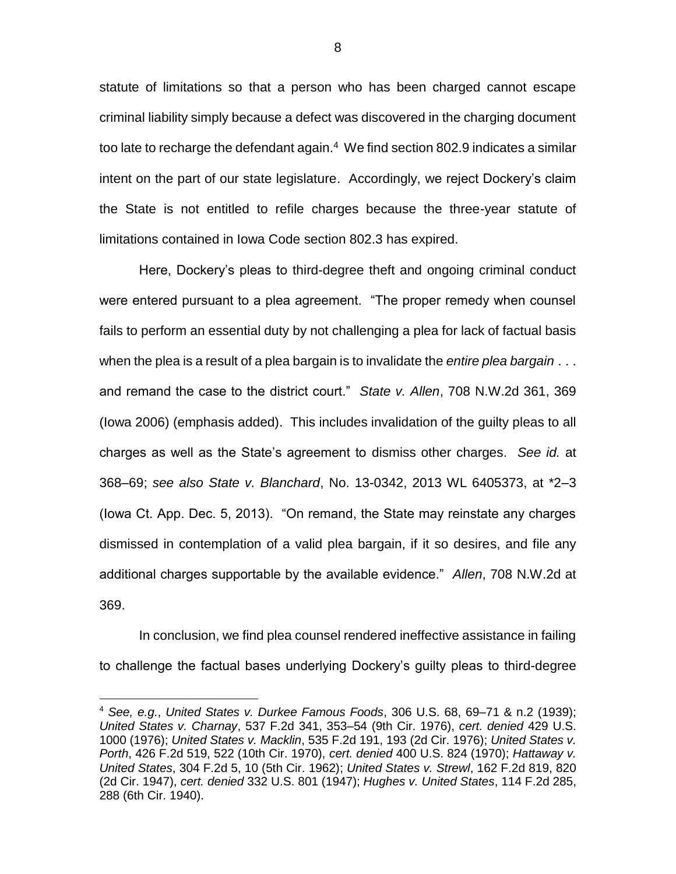statute of limitations so that a person who has been charged cannot escape criminal liability simply because a defect was discovered in the charging document too late to recharge the defendant again. $4\,$  We find section 802.9 indicates a similar intent on the part of our state legislature. Accordingly, we reject Dockery's claim the State is not entitled to refile charges because the three-year statute of limitations contained in Iowa Code section 802.3 has expired.

Here, Dockery's pleas to third-degree theft and ongoing criminal conduct were entered pursuant to a plea agreement. "The proper remedy when counsel fails to perform an essential duty by not challenging a plea for lack of factual basis when the plea is a result of a plea bargain is to invalidate the *entire plea bargain* . . . and remand the case to the district court." *State v. Allen*, 708 N.W.2d 361, 369 (Iowa 2006) (emphasis added). This includes invalidation of the guilty pleas to all charges as well as the State's agreement to dismiss other charges. *See id.* at 368–69; *see also State v. Blanchard*, No. 13-0342, 2013 WL 6405373, at \*2–3 (Iowa Ct. App. Dec. 5, 2013). "On remand, the State may reinstate any charges dismissed in contemplation of a valid plea bargain, if it so desires, and file any additional charges supportable by the available evidence." *Allen*, 708 N.W.2d at 369.

In conclusion, we find plea counsel rendered ineffective assistance in failing to challenge the factual bases underlying Dockery's guilty pleas to third-degree

 $\overline{a}$ 

<sup>4</sup> *See, e.g.*, *United States v. Durkee Famous Foods*, 306 U.S. 68, 69–71 & n.2 (1939); *United States v. Charnay*, 537 F.2d 341, 353–54 (9th Cir. 1976), *cert. denied* 429 U.S. 1000 (1976); *United States v. Macklin*, 535 F.2d 191, 193 (2d Cir. 1976); *United States v. Porth*, 426 F.2d 519, 522 (10th Cir. 1970), *cert. denied* 400 U.S. 824 (1970); *Hattaway v. United States*, 304 F.2d 5, 10 (5th Cir. 1962); *United States v. Strewl*, 162 F.2d 819, 820 (2d Cir. 1947), *cert. denied* 332 U.S. 801 (1947); *Hughes v. United States*, 114 F.2d 285, 288 (6th Cir. 1940).